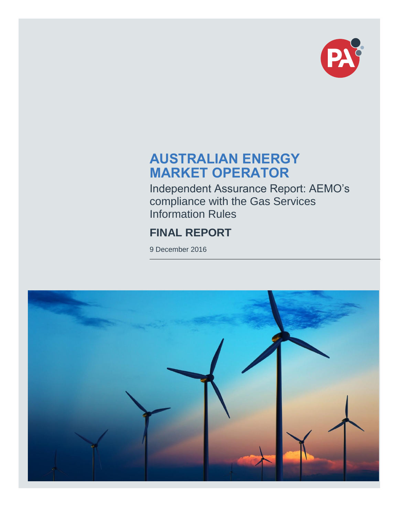

# **AUSTRALIAN ENERGY MARKET OPERATOR**

Independent Assurance Report: AEMO's compliance with the Gas Services Information Rules

# **FINAL REPORT**

9 December 2016

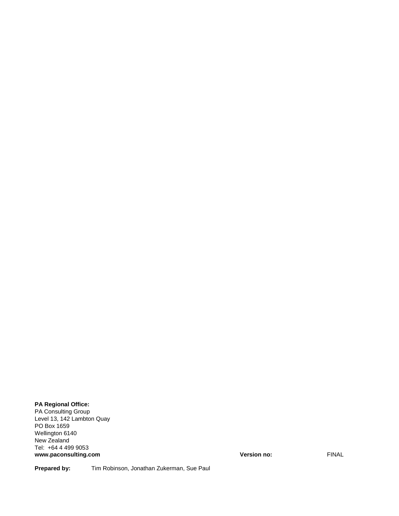#### **PA Regional Office:**

PA Consulting Group Level 13, 142 Lambton Quay PO Box 1659 Wellington 6140 New Zealand Tel: +64 4 499 9053 **www.paconsulting.com Version no:** FINAL

Prepared by: Tim Robinson, Jonathan Zukerman, Sue Paul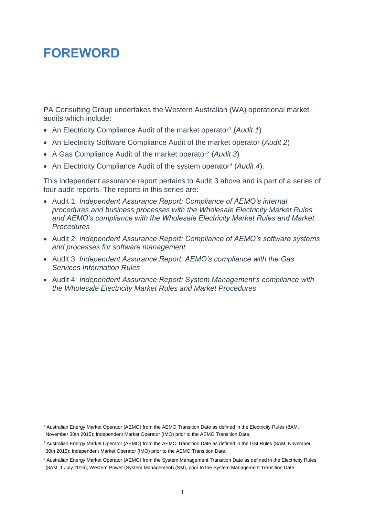# <span id="page-2-0"></span>**FOREWORD**

l

PA Consulting Group undertakes the Western Australian (WA) operational market audits which include:

- An Electricity Compliance Audit of the market operator<sup>1</sup> (Audit 1)
- An Electricity Software Compliance Audit of the market operator (*Audit 2*)
- A Gas Compliance Audit of the market operator<sup>2</sup> (*Audit 3*)
- An Electricity Compliance Audit of the system operator<sup>3</sup> (Audit 4).

This independent assurance report pertains to Audit 3 above and is part of a series of four audit reports. The reports in this series are:

- Audit 1: *Independent Assurance Report: Compliance of AEMO's internal procedures and business processes with the Wholesale Electricity Market Rules and AEMO's compliance with the Wholesale Electricity Market Rules and Market Procedures*
- Audit 2: *Independent Assurance Report: Compliance of AEMO's software systems and processes for software management*
- Audit 3: *Independent Assurance Report: AEMO's compliance with the Gas Services Information Rules*
- Audit 4: *Independent Assurance Report: System Management's compliance with the Wholesale Electricity Market Rules and Market Procedures*

<sup>1</sup> Australian Energy Market Operator (AEMO) from the AEMO Transition Date as defined in the Electricity Rules (8AM, November 30th 2015); Independent Market Operator (IMO) prior to the AEMO Transition Date.

<sup>&</sup>lt;sup>2</sup> Australian Energy Market Operator (AEMO) from the AEMO Transition Date as defined in the GSI Rules (8AM, November 30th 2015); Independent Market Operator (IMO) prior to the AEMO Transition Date.

<sup>3</sup> Australian Energy Market Operator (AEMO) from the System Management Transition Date as defined in the Electricity Rules (8AM, 1 July 2016); Western Power (System Management) (SM), prior to the System Management Transition Date.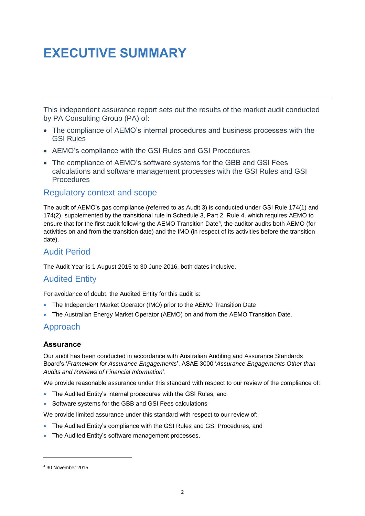# <span id="page-3-0"></span>**EXECUTIVE SUMMARY**

This independent assurance report sets out the results of the market audit conducted by PA Consulting Group (PA) of:

- The compliance of AEMO's internal procedures and business processes with the GSI Rules
- AEMO's compliance with the GSI Rules and GSI Procedures
- The compliance of AEMO's software systems for the GBB and GSI Fees calculations and software management processes with the GSI Rules and GSI **Procedures**

#### Regulatory context and scope

The audit of AEMO's gas compliance (referred to as Audit 3) is conducted under GSI Rule 174(1) and 174(2), supplemented by the transitional rule in Schedule 3, Part 2, Rule 4, which requires AEMO to ensure that for the first audit following the AEMO Transition Date<sup>4</sup>, the auditor audits both AEMO (for activities on and from the transition date) and the IMO (in respect of its activities before the transition date).

## Audit Period

The Audit Year is 1 August 2015 to 30 June 2016, both dates inclusive.

### Audited Entity

For avoidance of doubt, the Audited Entity for this audit is:

- The Independent Market Operator (IMO) prior to the AEMO Transition Date
- The Australian Energy Market Operator (AEMO) on and from the AEMO Transition Date.

### Approach

#### **Assurance**

Our audit has been conducted in accordance with Australian Auditing and Assurance Standards Board's '*Framework for Assurance Engagements*', ASAE 3000 '*Assurance Engagements Other than Audits and Reviews of Financial Information*'.

We provide reasonable assurance under this standard with respect to our review of the compliance of:

- The Audited Entity's internal procedures with the GSI Rules, and
- Software systems for the GBB and GSI Fees calculations

We provide limited assurance under this standard with respect to our review of:

- The Audited Entity's compliance with the GSI Rules and GSI Procedures, and
- The Audited Entity's software management processes.

l

<sup>4</sup> 30 November 2015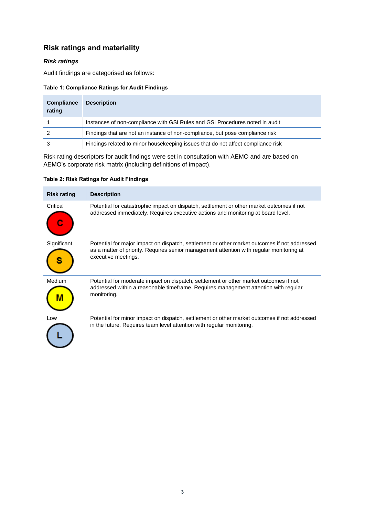## **Risk ratings and materiality**

#### *Risk ratings*

Audit findings are categorised as follows:

#### **Table 1: Compliance Ratings for Audit Findings**

| <b>Compliance</b><br>rating | <b>Description</b>                                                                |
|-----------------------------|-----------------------------------------------------------------------------------|
|                             | Instances of non-compliance with GSI Rules and GSI Procedures noted in audit      |
|                             | Findings that are not an instance of non-compliance, but pose compliance risk     |
|                             | Findings related to minor house keeping issues that do not affect compliance risk |

Risk rating descriptors for audit findings were set in consultation with AEMO and are based on AEMO's corporate risk matrix (including definitions of impact).

#### **Table 2: Risk Ratings for Audit Findings**

| <b>Risk rating</b> | <b>Description</b>                                                                                                                                                                                              |
|--------------------|-----------------------------------------------------------------------------------------------------------------------------------------------------------------------------------------------------------------|
| Critical           | Potential for catastrophic impact on dispatch, settlement or other market outcomes if not<br>addressed immediately. Requires executive actions and monitoring at board level.                                   |
| Significant        | Potential for major impact on dispatch, settlement or other market outcomes if not addressed<br>as a matter of priority. Requires senior management attention with regular monitoring at<br>executive meetings. |
| Medium             | Potential for moderate impact on dispatch, settlement or other market outcomes if not<br>addressed within a reasonable timeframe. Requires management attention with regular<br>monitoring.                     |
| Low                | Potential for minor impact on dispatch, settlement or other market outcomes if not addressed<br>in the future. Requires team level attention with regular monitoring.                                           |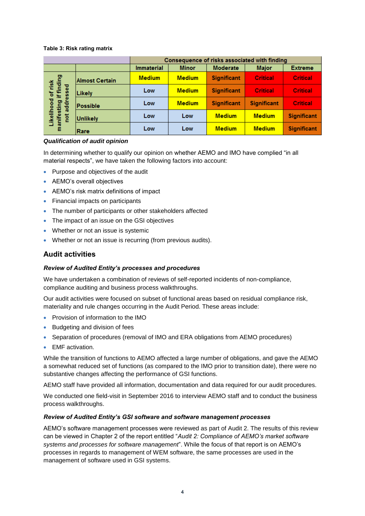#### **Table 3: Risk rating matrix**

|                                                                             |                       | Consequence of risks associated with finding |               |                    |                    |                    |
|-----------------------------------------------------------------------------|-----------------------|----------------------------------------------|---------------|--------------------|--------------------|--------------------|
|                                                                             |                       | <b>Immaterial</b>                            | <b>Minor</b>  | <b>Moderate</b>    | <b>Major</b>       | <b>Extreme</b>     |
| l of risk<br>if finding<br>essed<br>Likelihood<br>manifesting<br>addr<br>te | <b>Almost Certain</b> | <b>Medium</b>                                | <b>Medium</b> | <b>Significant</b> | <b>Critical</b>    | <b>Critical</b>    |
|                                                                             | Likely                | Low                                          | <b>Medium</b> | <b>Significant</b> | <b>Critical</b>    | <b>Critical</b>    |
|                                                                             | Possible              | Low                                          | <b>Medium</b> | <b>Significant</b> | <b>Significant</b> | <b>Critical</b>    |
|                                                                             | <b>Unlikely</b>       | Low                                          | Low           | <b>Medium</b>      | <b>Medium</b>      | <b>Significant</b> |
|                                                                             | Rare                  | Low                                          | Low           | <b>Medium</b>      | <b>Medium</b>      | <b>Significant</b> |

#### *Qualification of audit opinion*

In determining whether to qualify our opinion on whether AEMO and IMO have complied "in all material respects", we have taken the following factors into account:

- Purpose and objectives of the audit
- AEMO's overall objectives
- AEMO's risk matrix definitions of impact
- Financial impacts on participants
- The number of participants or other stakeholders affected
- The impact of an issue on the GSI objectives
- Whether or not an issue is systemic
- Whether or not an issue is recurring (from previous audits).

#### **Audit activities**

#### *Review of Audited Entity's processes and procedures*

We have undertaken a combination of reviews of self-reported incidents of non-compliance, compliance auditing and business process walkthroughs.

Our audit activities were focused on subset of functional areas based on residual compliance risk, materiality and rule changes occurring in the Audit Period. These areas include:

- Provision of information to the IMO
- Budgeting and division of fees
- Separation of procedures (removal of IMO and ERA obligations from AEMO procedures)
- EMF activation.

While the transition of functions to AEMO affected a large number of obligations, and gave the AEMO a somewhat reduced set of functions (as compared to the IMO prior to transition date), there were no substantive changes affecting the performance of GSI functions.

AEMO staff have provided all information, documentation and data required for our audit procedures.

We conducted one field-visit in September 2016 to interview AEMO staff and to conduct the business process walkthroughs.

#### *Review of Audited Entity's GSI software and software management processes*

AEMO's software management processes were reviewed as part of Audit 2. The results of this review can be viewed in Chapter 2 of the report entitled "*Audit 2: Compliance of AEMO's market software systems and processes for software management*". While the focus of that report is on AEMO's processes in regards to management of WEM software, the same processes are used in the management of software used in GSI systems.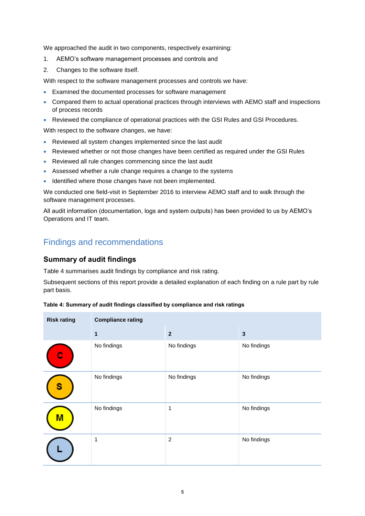We approached the audit in two components, respectively examining:

- 1. AEMO's software management processes and controls and
- 2. Changes to the software itself.

With respect to the software management processes and controls we have:

- Examined the documented processes for software management
- Compared them to actual operational practices through interviews with AEMO staff and inspections of process records
- Reviewed the compliance of operational practices with the GSI Rules and GSI Procedures.

With respect to the software changes, we have:

- Reviewed all system changes implemented since the last audit
- Reviewed whether or not those changes have been certified as required under the GSI Rules
- Reviewed all rule changes commencing since the last audit
- Assessed whether a rule change requires a change to the systems
- Identified where those changes have not been implemented.

We conducted one field-visit in September 2016 to interview AEMO staff and to walk through the software management processes.

All audit information (documentation, logs and system outputs) has been provided to us by AEMO's Operations and IT team.

## Findings and recommendations

#### **Summary of audit findings**

[Table 4](#page-6-0) summarises audit findings by compliance and risk rating.

Subsequent sections of this report provide a detailed explanation of each finding on a rule part by rule part basis.

<span id="page-6-0"></span>

| Table 4: Summary of audit findings classified by compliance and risk ratings |  |  |
|------------------------------------------------------------------------------|--|--|
|------------------------------------------------------------------------------|--|--|

| <b>Risk rating</b> | <b>Compliance rating</b> |                |              |
|--------------------|--------------------------|----------------|--------------|
|                    | 1                        | $\mathbf{2}$   | $\mathbf{3}$ |
|                    | No findings              | No findings    | No findings  |
| s                  | No findings              | No findings    | No findings  |
| М                  | No findings              | 1              | No findings  |
|                    | 1                        | $\overline{c}$ | No findings  |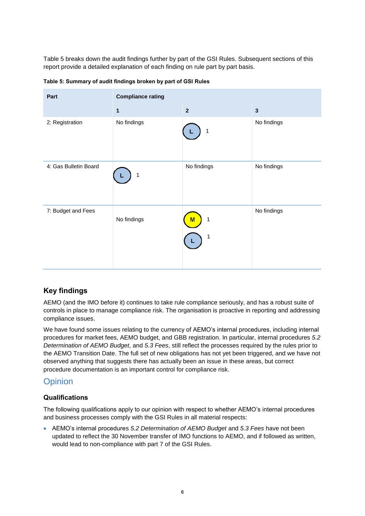[Table 5](#page-7-0) breaks down the audit findings further by part of the GSI Rules. Subsequent sections of this report provide a detailed explanation of each finding on rule part by part basis.

| Part                  | <b>Compliance rating</b> |                         |              |
|-----------------------|--------------------------|-------------------------|--------------|
|                       | 1                        | $\overline{\mathbf{2}}$ | $\mathbf{3}$ |
| 2: Registration       | No findings              | 1                       | No findings  |
| 4: Gas Bulletin Board | 1                        | No findings             | No findings  |
| 7: Budget and Fees    | No findings              | 1<br>M<br>1             | No findings  |

<span id="page-7-0"></span>**Table 5: Summary of audit findings broken by part of GSI Rules**

### **Key findings**

AEMO (and the IMO before it) continues to take rule compliance seriously, and has a robust suite of controls in place to manage compliance risk. The organisation is proactive in reporting and addressing compliance issues.

We have found some issues relating to the currency of AEMO's internal procedures, including internal procedures for market fees, AEMO budget, and GBB registration. In particular, internal procedures *5.2 Determination of AEMO Budget*, and *5.3 Fees*, still reflect the processes required by the rules prior to the AEMO Transition Date. The full set of new obligations has not yet been triggered, and we have not observed anything that suggests there has actually been an issue in these areas, but correct procedure documentation is an important control for compliance risk.

## **Opinion**

#### **Qualifications**

The following qualifications apply to our opinion with respect to whether AEMO's internal procedures and business processes comply with the GSI Rules in all material respects:

 AEMO's internal procedures *5.2 Determination of AEMO Budget* and *5.3 Fees* have not been updated to reflect the 30 November transfer of IMO functions to AEMO, and if followed as written, would lead to non-compliance with part 7 of the GSI Rules.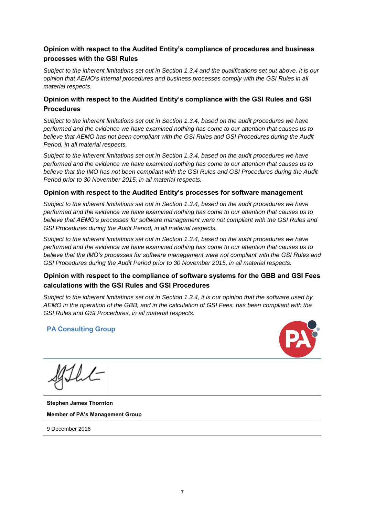#### **Opinion with respect to the Audited Entity's compliance of procedures and business processes with the GSI Rules**

*Subject to the inherent limitations set out in Section [1.3.4](#page-16-0) and the qualifications set out above, it is our opinion that AEMO's internal procedures and business processes comply with the GSI Rules in all material respects.*

#### **Opinion with respect to the Audited Entity's compliance with the GSI Rules and GSI Procedures**

*Subject to the inherent limitations set out in Section [1.3.4,](#page-16-0) based on the audit procedures we have performed and the evidence we have examined nothing has come to our attention that causes us to believe that AEMO has not been compliant with the GSI Rules and GSI Procedures during the Audit Period, in all material respects.*

*Subject to the inherent limitations set out in Section [1.3.4,](#page-16-0) based on the audit procedures we have performed and the evidence we have examined nothing has come to our attention that causes us to believe that the IMO has not been compliant with the GSI Rules and GSI Procedures during the Audit Period prior to 30 November 2015, in all material respects.*

#### **Opinion with respect to the Audited Entity's processes for software management**

*Subject to the inherent limitations set out in Section [1.3.4,](#page-16-0) based on the audit procedures we have performed and the evidence we have examined nothing has come to our attention that causes us to believe that AEMO's processes for software management were not compliant with the GSI Rules and GSI Procedures during the Audit Period, in all material respects.*

*Subject to the inherent limitations set out in Section [1.3.4,](#page-16-0) based on the audit procedures we have performed and the evidence we have examined nothing has come to our attention that causes us to believe that the IMO's processes for software management were not compliant with the GSI Rules and GSI Procedures during the Audit Period prior to 30 November 2015, in all material respects.*

#### **Opinion with respect to the compliance of software systems for the GBB and GSI Fees calculations with the GSI Rules and GSI Procedures**

*Subject to the inherent limitations set out in Section [1.3.4,](#page-16-0) it is our opinion that the software used by AEMO in the operation of the GBB, and in the calculation of GSI Fees, has been compliant with the GSI Rules and GSI Procedures, in all material respects.*

#### **PA Consulting Group**



**Stephen James Thornton Member of PA's Management Group**

9 December 2016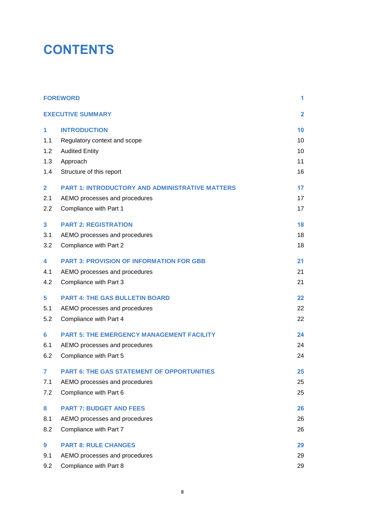# **CONTENTS**

|                | <b>FOREWORD</b>                                        | 1                       |
|----------------|--------------------------------------------------------|-------------------------|
|                | <b>EXECUTIVE SUMMARY</b>                               | $\overline{\mathbf{2}}$ |
| 1              | <b>INTRODUCTION</b>                                    | 10                      |
| 1.1            | Regulatory context and scope                           | 10                      |
| 1.2            | <b>Audited Entity</b>                                  | 10                      |
| 1.3            | Approach                                               | 11                      |
| 1.4            | Structure of this report                               | 16                      |
| $\overline{2}$ | <b>PART 1: INTRODUCTORY AND ADMINISTRATIVE MATTERS</b> | 17                      |
| 2.1            | AEMO processes and procedures                          | 17                      |
| 2.2            | Compliance with Part 1                                 | 17                      |
| 3              | <b>PART 2: REGISTRATION</b>                            | 18                      |
| 3.1            | AEMO processes and procedures                          | 18                      |
| 3.2            | Compliance with Part 2                                 | 18                      |
| 4              | <b>PART 3: PROVISION OF INFORMATION FOR GBB</b>        | 21                      |
| 4.1            | AEMO processes and procedures                          | 21                      |
| 4.2            | Compliance with Part 3                                 | 21                      |
| 5              | <b>PART 4: THE GAS BULLETIN BOARD</b>                  | 22                      |
| 5.1            | AEMO processes and procedures                          | 22                      |
| 5.2            | Compliance with Part 4                                 | 22                      |
| 6              | <b>PART 5: THE EMERGENCY MANAGEMENT FACILITY</b>       | 24                      |
| 6.1            | AEMO processes and procedures                          | 24                      |
| 6.2            | Compliance with Part 5                                 | 24                      |
| $\overline{7}$ | <b>PART 6: THE GAS STATEMENT OF OPPORTUNITIES</b>      | 25                      |
| 7.1            | AEMO processes and procedures                          | 25                      |
| 7.2            | Compliance with Part 6                                 | 25                      |
| 8              | <b>PART 7: BUDGET AND FEES</b>                         | 26                      |
| 8.1            | AEMO processes and procedures                          | 26                      |
| 8.2            | Compliance with Part 7                                 | 26                      |
| 9              | <b>PART 8: RULE CHANGES</b>                            | 29                      |
| 9.1            | AEMO processes and procedures                          | 29                      |
| 9.2            | Compliance with Part 8                                 | 29                      |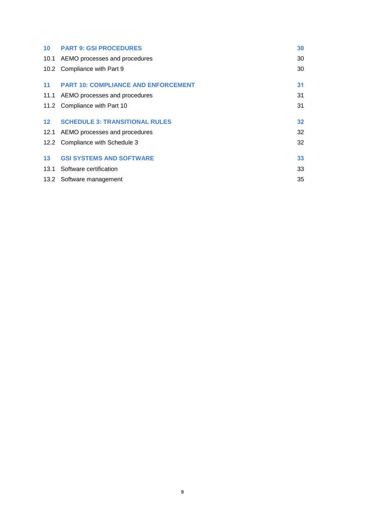|                 | 10 PART 9: GSI PROCEDURES                  | 30 |
|-----------------|--------------------------------------------|----|
|                 | 10.1 AEMO processes and procedures         | 30 |
|                 | 10.2 Compliance with Part 9                | 30 |
| 11              | <b>PART 10: COMPLIANCE AND ENFORCEMENT</b> | 31 |
|                 | 11.1 AEMO processes and procedures         | 31 |
|                 | 11.2 Compliance with Part 10               | 31 |
| 12              | <b>SCHEDULE 3: TRANSITIONAL RULES</b>      | 32 |
|                 | 12.1 AEMO processes and procedures         | 32 |
|                 | 12.2 Compliance with Schedule 3            | 32 |
| 13 <sup>7</sup> | <b>GSI SYSTEMS AND SOFTWARE</b>            | 33 |
|                 | 13.1 Software certification                | 33 |
|                 | 13.2 Software management                   | 35 |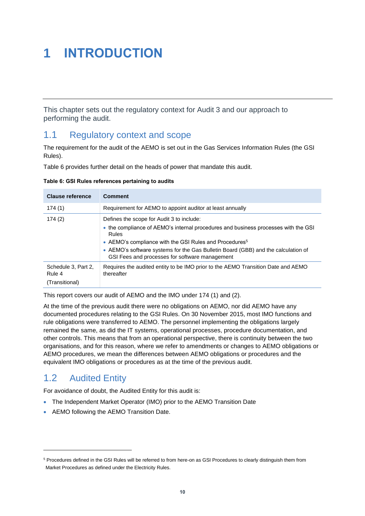# <span id="page-11-0"></span>**1 INTRODUCTION**

This chapter sets out the regulatory context for Audit 3 and our approach to performing the audit.

## <span id="page-11-1"></span>1.1 Regulatory context and scope

The requirement for the audit of the AEMO is set out in the Gas Services Information Rules (the GSI Rules).

[Table 6](#page-11-3) provides further detail on the heads of power that mandate this audit.

<span id="page-11-3"></span>

| Table 6: GSI Rules references pertaining to audits |  |
|----------------------------------------------------|--|
|----------------------------------------------------|--|

| <b>Clause reference</b>       | <b>Comment</b>                                                                                                                      |
|-------------------------------|-------------------------------------------------------------------------------------------------------------------------------------|
| 174 (1)                       | Requirement for AEMO to appoint auditor at least annually                                                                           |
| 174(2)                        | Defines the scope for Audit 3 to include:                                                                                           |
|                               | • the compliance of AEMO's internal procedures and business processes with the GSI<br>Rules                                         |
|                               | • AEMO's compliance with the GSI Rules and Procedures <sup>5</sup>                                                                  |
|                               | • AEMO's software systems for the Gas Bulletin Board (GBB) and the calculation of<br>GSI Fees and processes for software management |
| Schedule 3, Part 2,<br>Rule 4 | Requires the audited entity to be IMO prior to the AEMO Transition Date and AEMO<br>thereafter                                      |
| (Transitional)                |                                                                                                                                     |

This report covers our audit of AEMO and the IMO under 174 (1) and (2).

At the time of the previous audit there were no obligations on AEMO, nor did AEMO have any documented procedures relating to the GSI Rules. On 30 November 2015, most IMO functions and rule obligations were transferred to AEMO. The personnel implementing the obligations largely remained the same, as did the IT systems, operational processes, procedure documentation, and other controls. This means that from an operational perspective, there is continuity between the two organisations, and for this reason, where we refer to amendments or changes to AEMO obligations or AEMO procedures, we mean the differences between AEMO obligations or procedures and the equivalent IMO obligations or procedures as at the time of the previous audit.

## <span id="page-11-2"></span>1.2 Audited Entity

l

For avoidance of doubt, the Audited Entity for this audit is:

- The Independent Market Operator (IMO) prior to the AEMO Transition Date
- AEMO following the AEMO Transition Date.

<sup>&</sup>lt;sup>5</sup> Procedures defined in the GSI Rules will be referred to from here-on as GSI Procedures to clearly distinguish them from Market Procedures as defined under the Electricity Rules.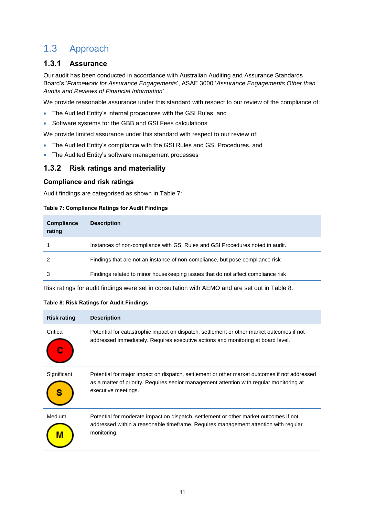# <span id="page-12-0"></span>1.3 Approach

#### **1.3.1 Assurance**

Our audit has been conducted in accordance with Australian Auditing and Assurance Standards Board's '*Framework for Assurance Engagements*', ASAE 3000 '*Assurance Engagements Other than Audits and Reviews of Financial Information*'.

We provide reasonable assurance under this standard with respect to our review of the compliance of:

- The Audited Entity's internal procedures with the GSI Rules, and
- Software systems for the GBB and GSI Fees calculations

We provide limited assurance under this standard with respect to our review of:

- The Audited Entity's compliance with the GSI Rules and GSI Procedures, and
- The Audited Entity's software management processes

### **1.3.2 Risk ratings and materiality**

#### **Compliance and risk ratings**

Audit findings are categorised as shown in [Table 7:](#page-12-1)

#### <span id="page-12-1"></span>**Table 7: Compliance Ratings for Audit Findings**

| <b>Compliance</b><br>rating | <b>Description</b>                                                               |
|-----------------------------|----------------------------------------------------------------------------------|
|                             | Instances of non-compliance with GSI Rules and GSI Procedures noted in audit.    |
|                             | Findings that are not an instance of non-compliance, but pose compliance risk    |
| 3                           | Findings related to minor housekeeping issues that do not affect compliance risk |

Risk ratings for audit findings were set in consultation with AEMO and are set out in [Table 8.](#page-12-2)

#### <span id="page-12-2"></span>**Table 8: Risk Ratings for Audit Findings**

| <b>Risk rating</b> | <b>Description</b>                                                                                                                                                                                              |
|--------------------|-----------------------------------------------------------------------------------------------------------------------------------------------------------------------------------------------------------------|
| Critical           | Potential for catastrophic impact on dispatch, settlement or other market outcomes if not<br>addressed immediately. Requires executive actions and monitoring at board level.                                   |
| Significant        | Potential for major impact on dispatch, settlement or other market outcomes if not addressed<br>as a matter of priority. Requires senior management attention with regular monitoring at<br>executive meetings. |
| Medium             | Potential for moderate impact on dispatch, settlement or other market outcomes if not<br>addressed within a reasonable timeframe. Requires management attention with regular<br>monitoring.                     |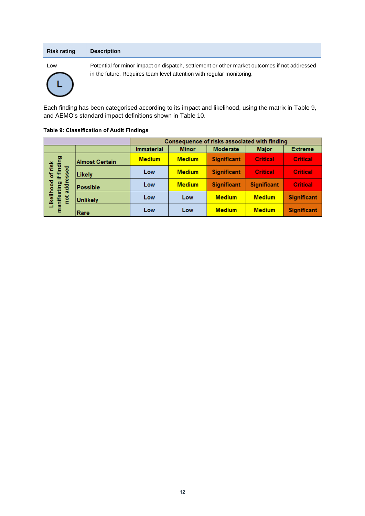| <b>Risk rating</b> | <b>Description</b>                                                                                                                                                    |
|--------------------|-----------------------------------------------------------------------------------------------------------------------------------------------------------------------|
| Low                | Potential for minor impact on dispatch, settlement or other market outcomes if not addressed<br>in the future. Requires team level attention with regular monitoring. |
|                    |                                                                                                                                                                       |

Each finding has been categorised according to its impact and likelihood, using the matrix in [Table 9,](#page-13-0) and AEMO's standard impact definitions shown in [Table 10.](#page-14-0)

#### <span id="page-13-0"></span>**Table 9: Classification of Audit Findings**

|                                                                           |                       | Consequence of risks associated with finding |                                                 |                    |                    |                    |
|---------------------------------------------------------------------------|-----------------------|----------------------------------------------|-------------------------------------------------|--------------------|--------------------|--------------------|
|                                                                           |                       | <b>Immaterial</b>                            | <b>Moderate</b><br><b>Minor</b><br><b>Major</b> |                    |                    | <b>Extreme</b>     |
|                                                                           | <b>Almost Certain</b> | <b>Medium</b>                                | <b>Medium</b>                                   | <b>Significant</b> | <b>Critical</b>    | <b>Critical</b>    |
| l of risk<br>if finding<br>essed<br>Likelihood<br>manifesting<br>ਰੂਰ<br>t | Likely                | Low                                          | <b>Medium</b>                                   | <b>Significant</b> | <b>Critical</b>    | <b>Critical</b>    |
|                                                                           | Possible              | Low                                          | <b>Medium</b>                                   | <b>Significant</b> | <b>Significant</b> | <b>Critical</b>    |
|                                                                           | <b>Unlikely</b>       | Low                                          | Low                                             | <b>Medium</b>      | <b>Medium</b>      | <b>Significant</b> |
|                                                                           | Rare                  | Low                                          | Low                                             | <b>Medium</b>      | <b>Medium</b>      | <b>Significant</b> |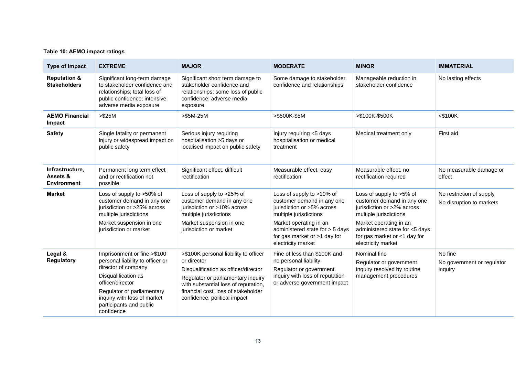#### **Table 10: AEMO impact ratings**

<span id="page-14-0"></span>

| Type of impact                                    | <b>EXTREME</b>                                                                                                                                                                                                                          | <b>MAJOR</b>                                                                                                                                                                                                                                      | <b>MODERATE</b>                                                                                                                                     | <b>MINOR</b>                                                                                                   | <b>IMMATERIAL</b>                                    |
|---------------------------------------------------|-----------------------------------------------------------------------------------------------------------------------------------------------------------------------------------------------------------------------------------------|---------------------------------------------------------------------------------------------------------------------------------------------------------------------------------------------------------------------------------------------------|-----------------------------------------------------------------------------------------------------------------------------------------------------|----------------------------------------------------------------------------------------------------------------|------------------------------------------------------|
| <b>Reputation &amp;</b><br><b>Stakeholders</b>    | Significant long-term damage<br>to stakeholder confidence and<br>relationships; total loss of<br>public confidence; intensive<br>adverse media exposure                                                                                 | Significant short term damage to<br>stakeholder confidence and<br>relationships; some loss of public<br>confidence; adverse media<br>exposure                                                                                                     | Some damage to stakeholder<br>confidence and relationships                                                                                          | Manageable reduction in<br>stakeholder confidence                                                              | No lasting effects                                   |
| <b>AEMO Financial</b><br>Impact                   | $> $25M$                                                                                                                                                                                                                                | $>\$ 5M-25M                                                                                                                                                                                                                                       | >\$500K-\$5M                                                                                                                                        | >\$100K-\$500K                                                                                                 | $<$ \$100K                                           |
| <b>Safety</b>                                     | Single fatality or permanent<br>injury or widespread impact on<br>public safety                                                                                                                                                         | Serious injury requiring<br>hospitalisation >5 days or<br>localised impact on public safety                                                                                                                                                       | Injury requiring <5 days<br>hospitalisation or medical<br>treatment                                                                                 | Medical treatment only                                                                                         | First aid                                            |
| Infrastructure,<br>Assets &<br><b>Environment</b> | Permanent long term effect<br>and or rectification not<br>possible                                                                                                                                                                      | Significant effect, difficult<br>rectification                                                                                                                                                                                                    | Measurable effect, easy<br>rectification                                                                                                            | Measurable effect, no<br>rectification required                                                                | No measurable damage or<br>effect                    |
| <b>Market</b>                                     | Loss of supply to >50% of<br>customer demand in any one<br>jurisdiction or >25% across<br>multiple jurisdictions                                                                                                                        | Loss of supply to >25% of<br>customer demand in any one<br>jurisdiction or >10% across<br>multiple jurisdictions                                                                                                                                  | Loss of supply to >10% of<br>customer demand in any one<br>jurisdiction or >5% across<br>multiple jurisdictions                                     | Loss of supply to >5% of<br>customer demand in any one<br>jurisdiction or >2% across<br>multiple jurisdictions | No restriction of supply<br>No disruption to markets |
|                                                   | Market suspension in one<br>jurisdiction or market                                                                                                                                                                                      | Market suspension in one<br>jurisdiction or market                                                                                                                                                                                                | Market operating in an<br>administered state for > 5 days<br>for gas market or >1 day for<br>electricity market                                     | Market operating in an<br>administered state for <5 days<br>for gas market or <1 day for<br>electricity market |                                                      |
| Legal &<br><b>Regulatory</b>                      | Imprisonment or fine >\$100<br>personal liability to officer or<br>director of company<br>Disqualification as<br>officer/director<br>Regulator or parliamentary<br>inquiry with loss of market<br>participants and public<br>confidence | >\$100K personal liability to officer<br>or director<br>Disqualification as officer/director<br>Regulator or parliamentary inquiry<br>with substantial loss of reputation,<br>financial cost, loss of stakeholder<br>confidence, political impact | Fine of less than \$100K and<br>no personal liability<br>Regulator or government<br>inquiry with loss of reputation<br>or adverse government impact | Nominal fine<br>Regulator or government<br>inquiry resolved by routine<br>management procedures                | No fine<br>No government or regulator<br>inquiry     |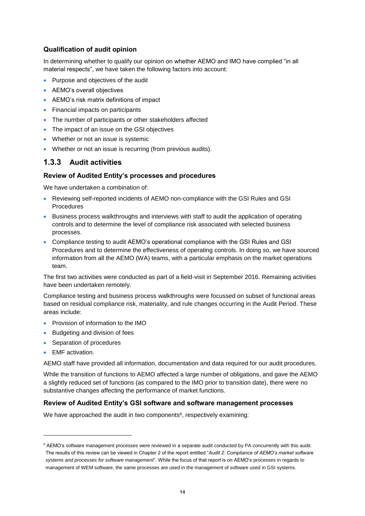#### **Qualification of audit opinion**

In determining whether to qualify our opinion on whether AEMO and IMO have complied "in all material respects", we have taken the following factors into account:

- Purpose and objectives of the audit
- AEMO's overall objectives
- AEMO's risk matrix definitions of impact
- Financial impacts on participants
- The number of participants or other stakeholders affected
- The impact of an issue on the GSI objectives
- Whether or not an issue is systemic
- Whether or not an issue is recurring (from previous audits).

### **1.3.3 Audit activities**

#### **Review of Audited Entity's processes and procedures**

We have undertaken a combination of:

- Reviewing self-reported incidents of AEMO non-compliance with the GSI Rules and GSI Procedures
- **Business process walkthroughs and interviews with staff to audit the application of operating** controls and to determine the level of compliance risk associated with selected business processes.
- Compliance testing to audit AEMO's operational compliance with the GSI Rules and GSI Procedures and to determine the effectiveness of operating controls. In doing so, we have sourced information from all the AEMO (WA) teams, with a particular emphasis on the market operations team.

The first two activities were conducted as part of a field-visit in September 2016. Remaining activities have been undertaken remotely.

Compliance testing and business process walkthroughs were focussed on subset of functional areas based on residual compliance risk, materiality, and rule changes occurring in the Audit Period. These areas include:

- Provision of information to the IMO
- Budgeting and division of fees
- Separation of procedures
- **•** EMF activation.

l

AEMO staff have provided all information, documentation and data required for our audit procedures.

While the transition of functions to AEMO affected a large number of obligations, and gave the AEMO a slightly reduced set of functions (as compared to the IMO prior to transition date), there were no substantive changes affecting the performance of market functions.

#### **Review of Audited Entity's GSI software and software management processes**

We have approached the audit in two components<sup>6</sup>, respectively examining:

<sup>&</sup>lt;sup>6</sup> AEMO's software management processes were reviewed in a separate audit conducted by PA concurrently with this audit. The results of this review can be viewed in Chapter 2 of the report entitled "*Audit 2: Compliance of AEMO's market software systems and processes for software management*". While the focus of that report is on AEMO's processes in regards to management of WEM software, the same processes are used in the management of software used in GSI systems.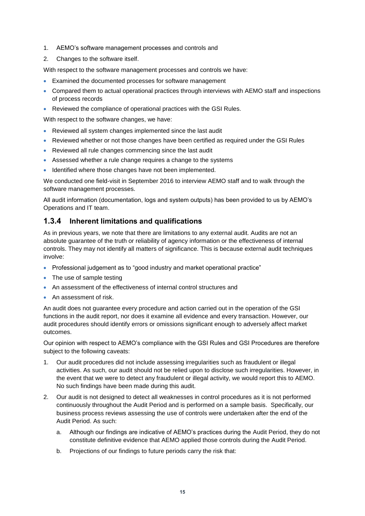- 1. AEMO's software management processes and controls and
- 2. Changes to the software itself.

With respect to the software management processes and controls we have:

- Examined the documented processes for software management
- Compared them to actual operational practices through interviews with AEMO staff and inspections of process records
- Reviewed the compliance of operational practices with the GSI Rules.

With respect to the software changes, we have:

- Reviewed all system changes implemented since the last audit
- Reviewed whether or not those changes have been certified as required under the GSI Rules
- Reviewed all rule changes commencing since the last audit
- Assessed whether a rule change requires a change to the systems
- Identified where those changes have not been implemented.

We conducted one field-visit in September 2016 to interview AEMO staff and to walk through the software management processes.

All audit information (documentation, logs and system outputs) has been provided to us by AEMO's Operations and IT team.

#### <span id="page-16-0"></span>**1.3.4 Inherent limitations and qualifications**

As in previous years, we note that there are limitations to any external audit. Audits are not an absolute guarantee of the truth or reliability of agency information or the effectiveness of internal controls. They may not identify all matters of significance. This is because external audit techniques involve:

- Professional judgement as to "good industry and market operational practice"
- The use of sample testing
- An assessment of the effectiveness of internal control structures and
- An assessment of risk.

An audit does not guarantee every procedure and action carried out in the operation of the GSI functions in the audit report, nor does it examine all evidence and every transaction. However, our audit procedures should identify errors or omissions significant enough to adversely affect market outcomes.

Our opinion with respect to AEMO's compliance with the GSI Rules and GSI Procedures are therefore subject to the following caveats:

- 1. Our audit procedures did not include assessing irregularities such as fraudulent or illegal activities. As such, our audit should not be relied upon to disclose such irregularities. However, in the event that we were to detect any fraudulent or illegal activity, we would report this to AEMO. No such findings have been made during this audit.
- 2. Our audit is not designed to detect all weaknesses in control procedures as it is not performed continuously throughout the Audit Period and is performed on a sample basis. Specifically, our business process reviews assessing the use of controls were undertaken after the end of the Audit Period. As such:
	- a. Although our findings are indicative of AEMO's practices during the Audit Period, they do not constitute definitive evidence that AEMO applied those controls during the Audit Period.
	- b. Projections of our findings to future periods carry the risk that: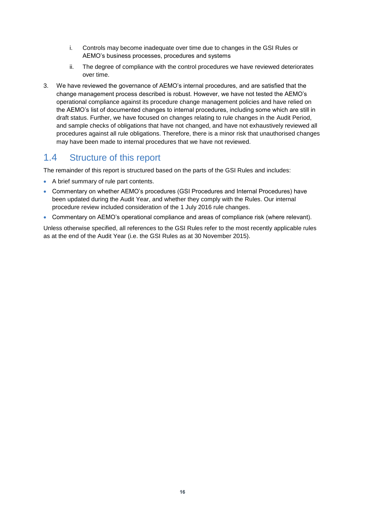- i. Controls may become inadequate over time due to changes in the GSI Rules or AEMO's business processes, procedures and systems
- ii. The degree of compliance with the control procedures we have reviewed deteriorates over time.
- 3. We have reviewed the governance of AEMO's internal procedures, and are satisfied that the change management process described is robust. However, we have not tested the AEMO's operational compliance against its procedure change management policies and have relied on the AEMO's list of documented changes to internal procedures, including some which are still in draft status. Further, we have focused on changes relating to rule changes in the Audit Period, and sample checks of obligations that have not changed, and have not exhaustively reviewed all procedures against all rule obligations. Therefore, there is a minor risk that unauthorised changes may have been made to internal procedures that we have not reviewed.

## <span id="page-17-0"></span>1.4 Structure of this report

The remainder of this report is structured based on the parts of the GSI Rules and includes:

- A brief summary of rule part contents.
- Commentary on whether AEMO's procedures (GSI Procedures and Internal Procedures) have been updated during the Audit Year, and whether they comply with the Rules. Our internal procedure review included consideration of the 1 July 2016 rule changes.
- Commentary on AEMO's operational compliance and areas of compliance risk (where relevant).

Unless otherwise specified, all references to the GSI Rules refer to the most recently applicable rules as at the end of the Audit Year (i.e. the GSI Rules as at 30 November 2015).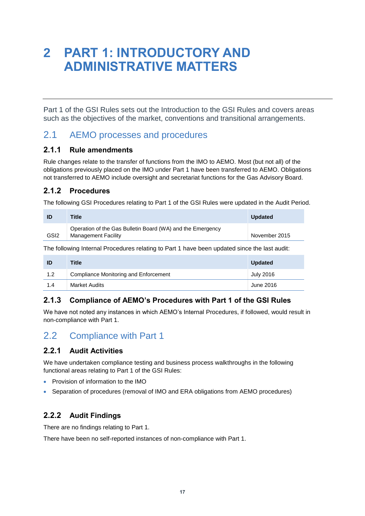# <span id="page-18-0"></span>**2 PART 1: INTRODUCTORY AND ADMINISTRATIVE MATTERS**

Part 1 of the GSI Rules sets out the Introduction to the GSI Rules and covers areas such as the objectives of the market, conventions and transitional arrangements.

## <span id="page-18-1"></span>2.1 AEMO processes and procedures

#### **2.1.1 Rule amendments**

Rule changes relate to the transfer of functions from the IMO to AEMO. Most (but not all) of the obligations previously placed on the IMO under Part 1 have been transferred to AEMO. Obligations not transferred to AEMO include oversight and secretariat functions for the Gas Advisory Board.

### **2.1.2 Procedures**

The following GSI Procedures relating to Part 1 of the GSI Rules were updated in the Audit Period.

|                  | Title                                                                                    | <b>Updated</b> |
|------------------|------------------------------------------------------------------------------------------|----------------|
| GSI <sub>2</sub> | Operation of the Gas Bulletin Board (WA) and the Emergency<br><b>Management Facility</b> | November 2015  |

The following Internal Procedures relating to Part 1 have been updated since the last audit:

| ID  | Title                                 | <b>Updated</b> |
|-----|---------------------------------------|----------------|
| 1.2 | Compliance Monitoring and Enforcement | July 2016      |
| 1.4 | Market Audits                         | June 2016      |

## **2.1.3 Compliance of AEMO's Procedures with Part 1 of the GSI Rules**

We have not noted any instances in which AEMO's Internal Procedures, if followed, would result in non-compliance with Part 1.

# <span id="page-18-2"></span>2.2 Compliance with Part 1

### **2.2.1 Audit Activities**

We have undertaken compliance testing and business process walkthroughs in the following functional areas relating to Part 1 of the GSI Rules:

- Provision of information to the IMO
- Separation of procedures (removal of IMO and ERA obligations from AEMO procedures)

### **2.2.2 Audit Findings**

There are no findings relating to Part 1.

There have been no self-reported instances of non-compliance with Part 1.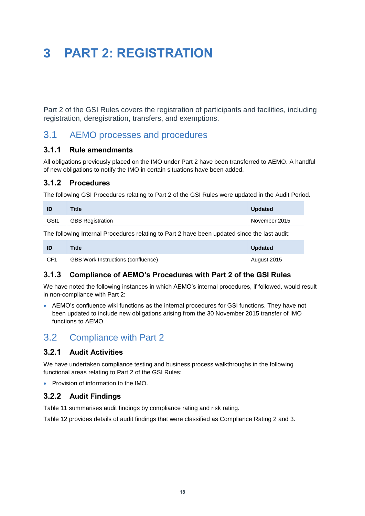# <span id="page-19-0"></span>**3 PART 2: REGISTRATION**

Part 2 of the GSI Rules covers the registration of participants and facilities, including registration, deregistration, transfers, and exemptions.

## <span id="page-19-1"></span>3.1 AEMO processes and procedures

#### **3.1.1 Rule amendments**

All obligations previously placed on the IMO under Part 2 have been transferred to AEMO. A handful of new obligations to notify the IMO in certain situations have been added.

#### **3.1.2 Procedures**

The following GSI Procedures relating to Part 2 of the GSI Rules were updated in the Audit Period.

| ID                                                                                           | <b>Title</b>            | <b>Updated</b> |  |
|----------------------------------------------------------------------------------------------|-------------------------|----------------|--|
| GSI <sub>1</sub>                                                                             | <b>GBB Registration</b> | November 2015  |  |
| The following Internal Procedures relating to Part 2 have been updated since the last audit: |                         |                |  |

| -ID.            | <b>Title</b>                              | <b>Updated</b> |
|-----------------|-------------------------------------------|----------------|
| CF <sub>1</sub> | <b>GBB Work Instructions (confluence)</b> | August 2015    |

#### **3.1.3 Compliance of AEMO's Procedures with Part 2 of the GSI Rules**

We have noted the following instances in which AEMO's internal procedures, if followed, would result in non-compliance with Part 2:

 AEMO's confluence wiki functions as the internal procedures for GSI functions. They have not been updated to include new obligations arising from the 30 November 2015 transfer of IMO functions to AEMO.

## <span id="page-19-2"></span>3.2 Compliance with Part 2

#### **3.2.1 Audit Activities**

We have undertaken compliance testing and business process walkthroughs in the following functional areas relating to Part 2 of the GSI Rules:

• Provision of information to the IMO.

### **3.2.2 Audit Findings**

[Table 11](#page-20-0) summarises audit findings by compliance rating and risk rating.

[Table 12](#page-21-0) provides details of audit findings that were classified as Compliance Rating 2 and 3.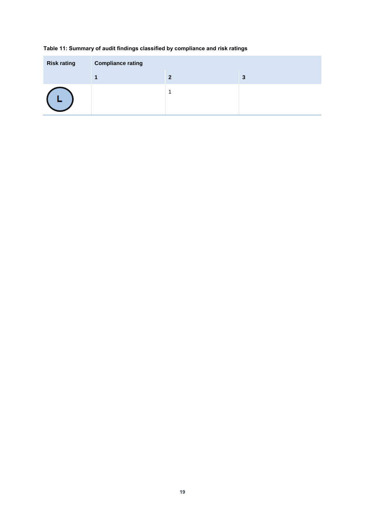#### <span id="page-20-0"></span>**Table 11: Summary of audit findings classified by compliance and risk ratings**

| <b>Risk rating</b> | <b>Compliance rating</b> |   |   |
|--------------------|--------------------------|---|---|
|                    |                          | 2 | 3 |
|                    |                          |   |   |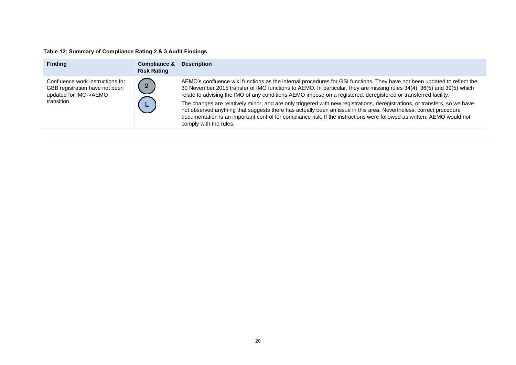#### **Table 12: Summary of Compliance Rating 2 & 3 Audit Findings**

<span id="page-21-0"></span>

| <b>Finding</b>                                                                                            | Compliance &<br><b>Risk Rating</b> | <b>Description</b>                                                                                                                                                                                                                                                                                                                                                                                                                                                                                                                                                                                                                                                                                                                                                             |
|-----------------------------------------------------------------------------------------------------------|------------------------------------|--------------------------------------------------------------------------------------------------------------------------------------------------------------------------------------------------------------------------------------------------------------------------------------------------------------------------------------------------------------------------------------------------------------------------------------------------------------------------------------------------------------------------------------------------------------------------------------------------------------------------------------------------------------------------------------------------------------------------------------------------------------------------------|
| Confluence work instructions for<br>GBB registration have not been<br>updated for IMO->AEMO<br>transition |                                    | AEMO's confluence wiki functions as the internal procedures for GSI functions. They have not been updated to reflect the<br>30 November 2015 transfer of IMO functions to AEMO. In particular, they are missing rules 34(4), 36(5) and 39(5) which<br>relate to advising the IMO of any conditions AEMO impose on a registered, deregistered or transferred facility.<br>The changes are relatively minor, and are only triggered with new registrations, deregistrations, or transfers, so we have<br>not observed anything that suggests there has actually been an issue in this area. Nevertheless, correct procedure<br>documentation is an important control for compliance risk. If the instructions were followed as written, AEMO would not<br>comply with the rules. |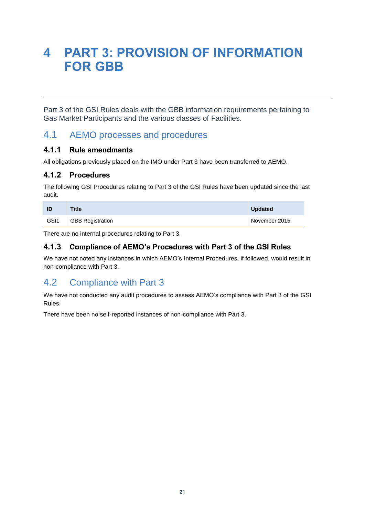# <span id="page-22-0"></span>**4 PART 3: PROVISION OF INFORMATION FOR GBB**

Part 3 of the GSI Rules deals with the GBB information requirements pertaining to Gas Market Participants and the various classes of Facilities.

## <span id="page-22-1"></span>4.1 AEMO processes and procedures

#### **4.1.1 Rule amendments**

All obligations previously placed on the IMO under Part 3 have been transferred to AEMO.

### **4.1.2 Procedures**

The following GSI Procedures relating to Part 3 of the GSI Rules have been updated since the last audit.

| ID               | <b>Title</b>            | <b>Updated</b> |
|------------------|-------------------------|----------------|
| GSI <sub>1</sub> | <b>GBB Registration</b> | November 2015  |

There are no internal procedures relating to Part 3.

### **4.1.3 Compliance of AEMO's Procedures with Part 3 of the GSI Rules**

We have not noted any instances in which AEMO's Internal Procedures, if followed, would result in non-compliance with Part 3.

# <span id="page-22-2"></span>4.2 Compliance with Part 3

We have not conducted any audit procedures to assess AEMO's compliance with Part 3 of the GSI Rules.

There have been no self-reported instances of non-compliance with Part 3.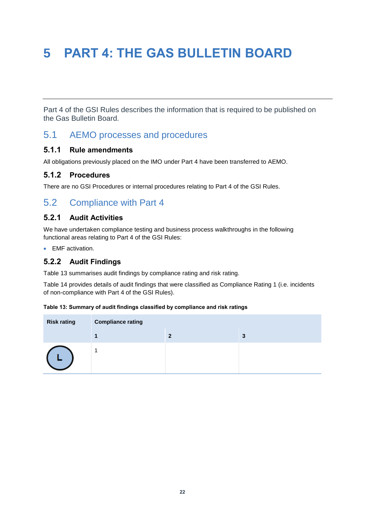# <span id="page-23-0"></span>**5 PART 4: THE GAS BULLETIN BOARD**

Part 4 of the GSI Rules describes the information that is required to be published on the Gas Bulletin Board.

## <span id="page-23-1"></span>5.1 AEMO processes and procedures

#### **5.1.1 Rule amendments**

All obligations previously placed on the IMO under Part 4 have been transferred to AEMO.

#### **5.1.2 Procedures**

There are no GSI Procedures or internal procedures relating to Part 4 of the GSI Rules.

## <span id="page-23-2"></span>5.2 Compliance with Part 4

#### **5.2.1 Audit Activities**

We have undertaken compliance testing and business process walkthroughs in the following functional areas relating to Part 4 of the GSI Rules:

**EMF** activation.

#### **5.2.2 Audit Findings**

[Table 13](#page-23-3) summarises audit findings by compliance rating and risk rating.

[Table 14](#page-24-0) provides details of audit findings that were classified as Compliance Rating 1 (i.e. incidents of non-compliance with Part 4 of the GSI Rules).

#### <span id="page-23-3"></span>**Table 13: Summary of audit findings classified by compliance and risk ratings**

| <b>Risk rating</b> | <b>Compliance rating</b> |   |   |
|--------------------|--------------------------|---|---|
|                    |                          | າ | З |
|                    |                          |   |   |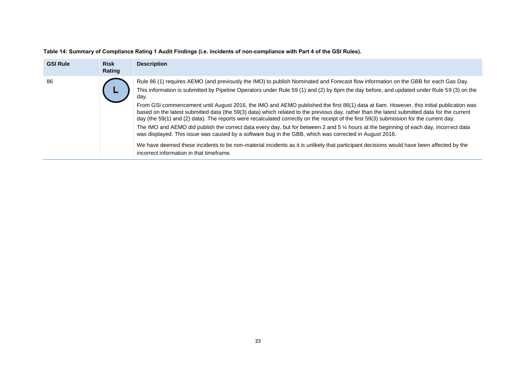<span id="page-24-0"></span>

| <b>GSI Rule</b> | <b>Risk</b><br>Rating | <b>Description</b>                                                                                                                                                                                                                                                                                                                                                                                                                                                                                                                                                                                                                                                                                                                                                                                                                                                                                                                                                                                                                                                                                                                                                      |
|-----------------|-----------------------|-------------------------------------------------------------------------------------------------------------------------------------------------------------------------------------------------------------------------------------------------------------------------------------------------------------------------------------------------------------------------------------------------------------------------------------------------------------------------------------------------------------------------------------------------------------------------------------------------------------------------------------------------------------------------------------------------------------------------------------------------------------------------------------------------------------------------------------------------------------------------------------------------------------------------------------------------------------------------------------------------------------------------------------------------------------------------------------------------------------------------------------------------------------------------|
| 86              |                       | Rule 86 (1) requires AEMO (and previously the IMO) to publish Nominated and Forecast flow information on the GBB for each Gas Day.<br>This information is submitted by Pipeline Operators under Rule 59 (1) and (2) by 6pm the day before, and updated under Rule 59 (3) on the<br>day.<br>From GSI commencement until August 2016, the IMO and AEMO published the first 86(1) data at 6am. However, this initial publication was<br>based on the latest submitted data (the 59(3) data) which related to the previous day, rather than the latest submitted data for the current<br>day (the 59(1) and (2) data). The reports were recalculated correctly on the receipt of the first 59(3) submission for the current day.<br>The IMO and AEMO did publish the correct data every day, but for between 2 and 5 % hours at the beginning of each day, incorrect data<br>was displayed. This issue was caused by a software bug in the GBB, which was corrected in August 2016.<br>We have deemed these incidents to be non-material incidents as it is unlikely that participant decisions would have been affected by the<br>incorrect information in that timeframe. |

**Table 14: Summary of Compliance Rating 1 Audit Findings (i.e. incidents of non-compliance with Part 4 of the GSI Rules).**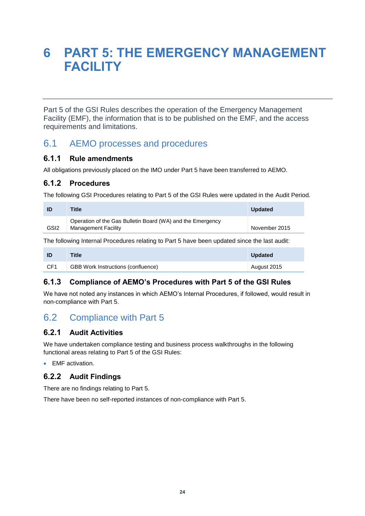# <span id="page-25-0"></span>**6 PART 5: THE EMERGENCY MANAGEMENT FACILITY**

Part 5 of the GSI Rules describes the operation of the Emergency Management Facility (EMF), the information that is to be published on the EMF, and the access requirements and limitations.

## <span id="page-25-1"></span>6.1 AEMO processes and procedures

#### **6.1.1 Rule amendments**

All obligations previously placed on the IMO under Part 5 have been transferred to AEMO.

#### **6.1.2 Procedures**

The following GSI Procedures relating to Part 5 of the GSI Rules were updated in the Audit Period.

| ID               | <b>Title</b>                                                                             | <b>Updated</b> |
|------------------|------------------------------------------------------------------------------------------|----------------|
| GSI <sub>2</sub> | Operation of the Gas Bulletin Board (WA) and the Emergency<br><b>Management Facility</b> | November 2015  |
|                  |                                                                                          |                |

The following Internal Procedures relating to Part 5 have been updated since the last audit:

| ID  | <b>Title</b>                              | <b>Updated</b> |
|-----|-------------------------------------------|----------------|
| CF1 | <b>GBB Work Instructions (confluence)</b> | August 2015    |

### **6.1.3 Compliance of AEMO's Procedures with Part 5 of the GSI Rules**

We have not noted any instances in which AEMO's Internal Procedures, if followed, would result in non-compliance with Part 5.

# <span id="page-25-2"></span>6.2 Compliance with Part 5

### **6.2.1 Audit Activities**

We have undertaken compliance testing and business process walkthroughs in the following functional areas relating to Part 5 of the GSI Rules:

• EMF activation.

### **6.2.2 Audit Findings**

There are no findings relating to Part 5.

There have been no self-reported instances of non-compliance with Part 5.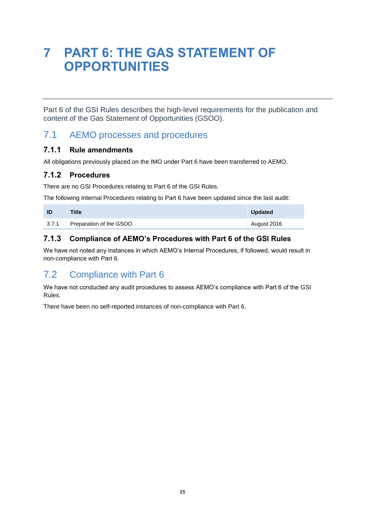# <span id="page-26-0"></span>**7 PART 6: THE GAS STATEMENT OF OPPORTUNITIES**

Part 6 of the GSI Rules describes the high-level requirements for the publication and content of the Gas Statement of Opportunities (GSOO).

## <span id="page-26-1"></span>7.1 AEMO processes and procedures

#### **7.1.1 Rule amendments**

All obligations previously placed on the IMO under Part 6 have been transferred to AEMO.

### **7.1.2 Procedures**

There are no GSI Procedures relating to Part 6 of the GSI Rules.

The following Internal Procedures relating to Part 6 have been updated since the last audit:

|       | <b>Title</b>            | <b>Updated</b> |
|-------|-------------------------|----------------|
| 3.7.1 | Preparation of the GSOO | August 2016    |

## **7.1.3 Compliance of AEMO's Procedures with Part 6 of the GSI Rules**

We have not noted any instances in which AEMO's Internal Procedures, if followed, would result in non-compliance with Part 6.

## <span id="page-26-2"></span>7.2 Compliance with Part 6

We have not conducted any audit procedures to assess AEMO's compliance with Part 6 of the GSI Rules.

There have been no self-reported instances of non-compliance with Part 6.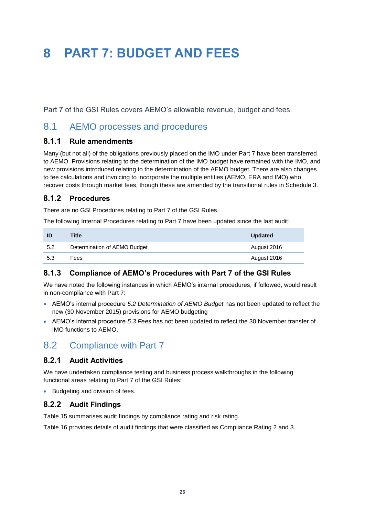# <span id="page-27-0"></span>**8 PART 7: BUDGET AND FEES**

Part 7 of the GSI Rules covers AEMO's allowable revenue, budget and fees.

## <span id="page-27-1"></span>8.1 AEMO processes and procedures

#### **8.1.1 Rule amendments**

Many (but not all) of the obligations previously placed on the IMO under Part 7 have been transferred to AEMO. Provisions relating to the determination of the IMO budget have remained with the IMO, and new provisions introduced relating to the determination of the AEMO budget. There are also changes to fee calculations and invoicing to incorporate the multiple entities (AEMO, ERA and IMO) who recover costs through market fees, though these are amended by the transitional rules in Schedule 3.

### **8.1.2 Procedures**

There are no GSI Procedures relating to Part 7 of the GSI Rules.

The following Internal Procedures relating to Part 7 have been updated since the last audit:

| ID  | <b>Title</b>                 | <b>Updated</b> |
|-----|------------------------------|----------------|
| 5.2 | Determination of AEMO Budget | August 2016    |
| 5.3 | Fees                         | August 2016    |

### **8.1.3 Compliance of AEMO's Procedures with Part 7 of the GSI Rules**

We have noted the following instances in which AEMO's internal procedures, if followed, would result in non-compliance with Part 7:

- AEMO's internal procedure *5.2 Determination of AEMO Budget* has not been updated to reflect the new (30 November 2015) provisions for AEMO budgeting
- AEMO's internal procedure *5.3 Fees* has not been updated to reflect the 30 November transfer of IMO functions to AEMO.

## <span id="page-27-2"></span>8.2 Compliance with Part 7

### **8.2.1 Audit Activities**

We have undertaken compliance testing and business process walkthroughs in the following functional areas relating to Part 7 of the GSI Rules:

Budgeting and division of fees.

### **8.2.2 Audit Findings**

[Table 15](#page-28-0) summarises audit findings by compliance rating and risk rating.

[Table 16](#page-29-0) provides details of audit findings that were classified as Compliance Rating 2 and 3.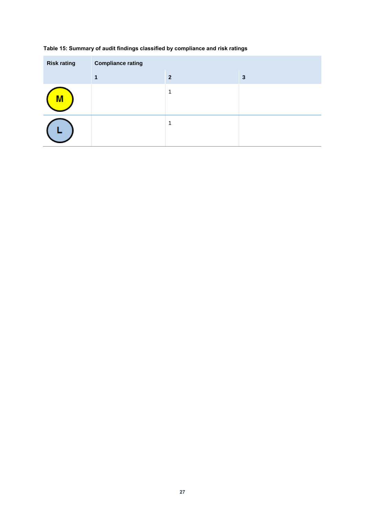| <b>Risk rating</b> | <b>Compliance rating</b> |                |   |
|--------------------|--------------------------|----------------|---|
|                    |                          | $\overline{2}$ | 3 |
| <u>IVI</u>         |                          | 1              |   |
|                    |                          |                |   |

#### <span id="page-28-0"></span>**Table 15: Summary of audit findings classified by compliance and risk ratings**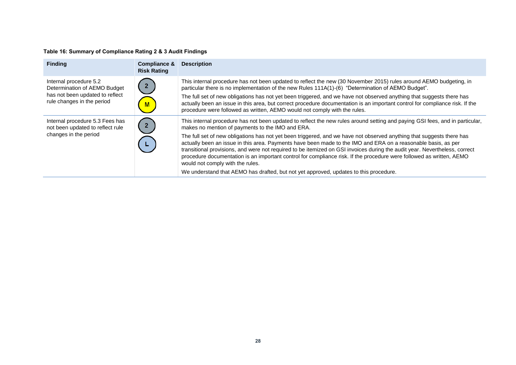#### **Table 16: Summary of Compliance Rating 2 & 3 Audit Findings**

<span id="page-29-0"></span>

| <b>Finding</b>                                                                            | <b>Compliance &amp;</b><br><b>Risk Rating</b> | <b>Description</b>                                                                                                                                                                                                                                                                                                                                                                                                                                                                                                               |
|-------------------------------------------------------------------------------------------|-----------------------------------------------|----------------------------------------------------------------------------------------------------------------------------------------------------------------------------------------------------------------------------------------------------------------------------------------------------------------------------------------------------------------------------------------------------------------------------------------------------------------------------------------------------------------------------------|
| Internal procedure 5.2<br>Determination of AEMO Budget<br>has not been updated to reflect |                                               | This internal procedure has not been updated to reflect the new (30 November 2015) rules around AEMO budgeting, in<br>particular there is no implementation of the new Rules 111A(1)-(6) "Determination of AEMO Budget".<br>The full set of new obligations has not yet been triggered, and we have not observed anything that suggests there has                                                                                                                                                                                |
| rule changes in the period                                                                |                                               | actually been an issue in this area, but correct procedure documentation is an important control for compliance risk. If the<br>procedure were followed as written, AEMO would not comply with the rules.                                                                                                                                                                                                                                                                                                                        |
| Internal procedure 5.3 Fees has<br>not been updated to reflect rule                       |                                               | This internal procedure has not been updated to reflect the new rules around setting and paying GSI fees, and in particular,<br>makes no mention of payments to the IMO and ERA.                                                                                                                                                                                                                                                                                                                                                 |
| changes in the period                                                                     |                                               | The full set of new obligations has not yet been triggered, and we have not observed anything that suggests there has<br>actually been an issue in this area. Payments have been made to the IMO and ERA on a reasonable basis, as per<br>transitional provisions, and were not required to be itemized on GSI invoices during the audit year. Nevertheless, correct<br>procedure documentation is an important control for compliance risk. If the procedure were followed as written, AEMO<br>would not comply with the rules. |
|                                                                                           |                                               | We understand that AEMO has drafted, but not yet approved, updates to this procedure.                                                                                                                                                                                                                                                                                                                                                                                                                                            |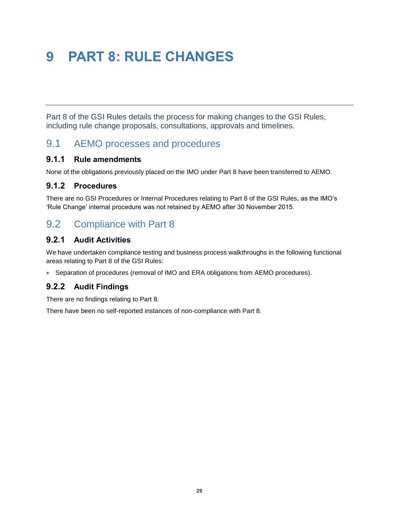# <span id="page-30-0"></span>**9 PART 8: RULE CHANGES**

Part 8 of the GSI Rules details the process for making changes to the GSI Rules, including rule change proposals, consultations, approvals and timelines.

## 9.1 AEMO processes and procedures

#### **9.1.1 Rule amendments**

<span id="page-30-1"></span>None of the obligations previously placed on the IMO under Part 8 have been transferred to AEMO.

#### **9.1.2 Procedures**

There are no GSI Procedures or Internal Procedures relating to Part 8 of the GSI Rules, as the IMO's 'Rule Change' internal procedure was not retained by AEMO after 30 November 2015.

## 9.2 Compliance with Part 8

#### **9.2.1 Audit Activities**

<span id="page-30-2"></span>We have undertaken compliance testing and business process walkthroughs in the following functional areas relating to Part 8 of the GSI Rules:

• Separation of procedures (removal of IMO and ERA obligations from AEMO procedures).

#### **9.2.2 Audit Findings**

There are no findings relating to Part 8.

There have been no self-reported instances of non-compliance with Part 8.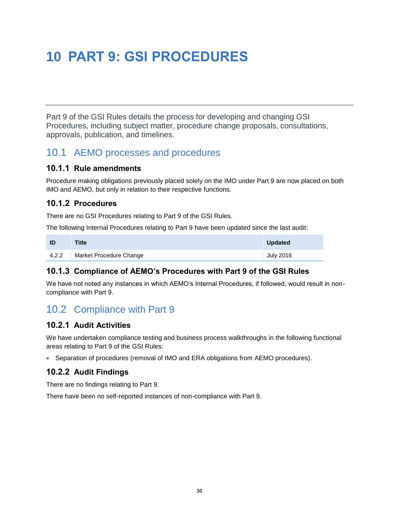# <span id="page-31-0"></span>**10 PART 9: GSI PROCEDURES**

Part 9 of the GSI Rules details the process for developing and changing GSI Procedures, including subject matter, procedure change proposals, consultations, approvals, publication, and timelines.

## 10.1 AEMO processes and procedures

#### **10.1.1 Rule amendments**

<span id="page-31-1"></span>Procedure making obligations previously placed solely on the IMO under Part 9 are now placed on both IMO and AEMO, but only in relation to their respective functions.

#### **10.1.2 Procedures**

There are no GSI Procedures relating to Part 9 of the GSI Rules.

The following Internal Procedures relating to Part 9 have been updated since the last audit:

| ID    | <b>Title</b>            | <b>Updated</b> |
|-------|-------------------------|----------------|
| 4.2.2 | Market Procedure Change | July 2016      |

### **10.1.3 Compliance of AEMO's Procedures with Part 9 of the GSI Rules**

We have not noted any instances in which AEMO's Internal Procedures, if followed, would result in noncompliance with Part 9.

## 10.2 Compliance with Part 9

### **10.2.1 Audit Activities**

<span id="page-31-2"></span>We have undertaken compliance testing and business process walkthroughs in the following functional areas relating to Part 9 of the GSI Rules:

• Separation of procedures (removal of IMO and ERA obligations from AEMO procedures).

### **10.2.2 Audit Findings**

There are no findings relating to Part 9.

There have been no self-reported instances of non-compliance with Part 9.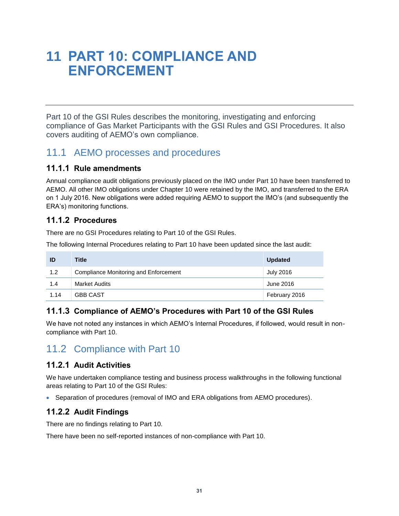# <span id="page-32-0"></span>**11 PART 10: COMPLIANCE AND ENFORCEMENT**

Part 10 of the GSI Rules describes the monitoring, investigating and enforcing compliance of Gas Market Participants with the GSI Rules and GSI Procedures. It also covers auditing of AEMO's own compliance.

## 11.1 AEMO processes and procedures

### **11.1.1 Rule amendments**

<span id="page-32-1"></span>Annual compliance audit obligations previously placed on the IMO under Part 10 have been transferred to AEMO. All other IMO obligations under Chapter 10 were retained by the IMO, and transferred to the ERA on 1 July 2016. New obligations were added requiring AEMO to support the IMO's (and subsequently the ERA's) monitoring functions.

### **11.1.2 Procedures**

There are no GSI Procedures relating to Part 10 of the GSI Rules.

The following Internal Procedures relating to Part 10 have been updated since the last audit:

| ID   | Title                                 | <b>Updated</b> |
|------|---------------------------------------|----------------|
| 1.2  | Compliance Monitoring and Enforcement | July 2016      |
| 1.4  | <b>Market Audits</b>                  | June 2016      |
| 1.14 | <b>GBB CAST</b>                       | February 2016  |

## **11.1.3 Compliance of AEMO's Procedures with Part 10 of the GSI Rules**

We have not noted any instances in which AEMO's Internal Procedures, if followed, would result in noncompliance with Part 10.

## 11.2 Compliance with Part 10

### **11.2.1 Audit Activities**

<span id="page-32-2"></span>We have undertaken compliance testing and business process walkthroughs in the following functional areas relating to Part 10 of the GSI Rules:

Separation of procedures (removal of IMO and ERA obligations from AEMO procedures).

### **11.2.2 Audit Findings**

There are no findings relating to Part 10.

There have been no self-reported instances of non-compliance with Part 10.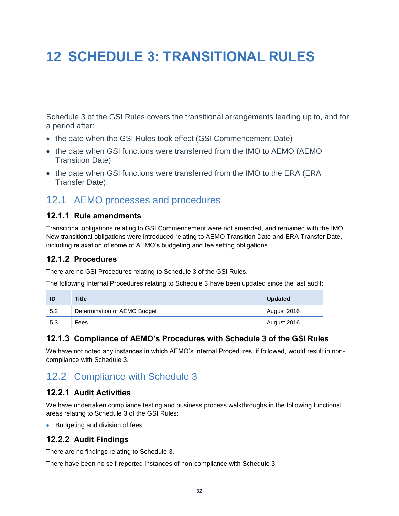# <span id="page-33-0"></span>**12 SCHEDULE 3: TRANSITIONAL RULES**

Schedule 3 of the GSI Rules covers the transitional arrangements leading up to, and for a period after:

- the date when the GSI Rules took effect (GSI Commencement Date)
- the date when GSI functions were transferred from the IMO to AEMO (AEMO Transition Date)
- the date when GSI functions were transferred from the IMO to the ERA (ERA) Transfer Date).

## 12.1 AEMO processes and procedures

#### **12.1.1 Rule amendments**

<span id="page-33-1"></span>Transitional obligations relating to GSI Commencement were not amended, and remained with the IMO. New transitional obligations were introduced relating to AEMO Transition Date and ERA Transfer Date, including relaxation of some of AEMO's budgeting and fee setting obligations.

### **12.1.2 Procedures**

There are no GSI Procedures relating to Schedule 3 of the GSI Rules.

The following Internal Procedures relating to Schedule 3 have been updated since the last audit:

| ID  | <b>Title</b>                 | <b>Updated</b> |
|-----|------------------------------|----------------|
| 5.2 | Determination of AEMO Budget | August 2016    |
| 5.3 | Fees                         | August 2016    |

### **12.1.3 Compliance of AEMO's Procedures with Schedule 3 of the GSI Rules**

We have not noted any instances in which AEMO's Internal Procedures, if followed, would result in noncompliance with Schedule 3.

## 12.2 Compliance with Schedule 3

### **12.2.1 Audit Activities**

<span id="page-33-2"></span>We have undertaken compliance testing and business process walkthroughs in the following functional areas relating to Schedule 3 of the GSI Rules:

• Budgeting and division of fees.

### **12.2.2 Audit Findings**

There are no findings relating to Schedule 3.

There have been no self-reported instances of non-compliance with Schedule 3.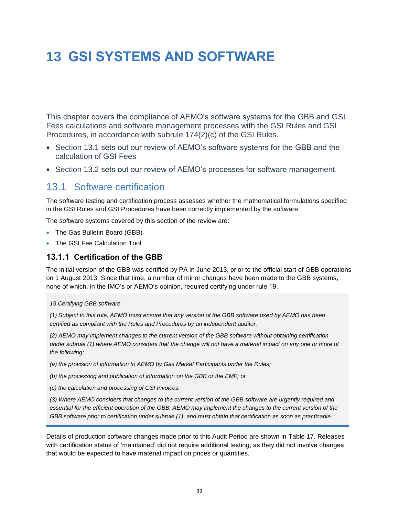# <span id="page-34-0"></span>**13 GSI SYSTEMS AND SOFTWARE**

This chapter covers the compliance of AEMO's software systems for the GBB and GSI Fees calculations and software management processes with the GSI Rules and GSI Procedures, in accordance with subrule 174(2)(c) of the GSI Rules.

- Section [13.1](#page-34-2) sets out our review of AEMO's software systems for the GBB and the calculation of GSI Fees
- Section [13.2](#page-36-1) sets out our review of AEMO's processes for software management.

## <span id="page-34-2"></span>13.1 Software certification

The software testing and certification process assesses whether the mathematical formulations specified in the GSI Rules and GSI Procedures have been correctly implemented by the software.

<span id="page-34-1"></span>The software systems covered by this section of the review are:

- The Gas Bulletin Board (GBB)
- The GSI Fee Calculation Tool.

#### **13.1.1 Certification of the GBB**

The initial version of the GBB was certified by PA in June 2013, prior to the official start of GBB operations on 1 August 2013. Since that time, a number of minor changes have been made to the GBB systems, none of which, in the IMO's or AEMO's opinion, required certifying under rule 19.

#### *19 Certifying GBB software*

*(1) Subject to this rule, AEMO must ensure that any version of the GBB software used by AEMO has been certified as compliant with the Rules and Procedures by an independent auditor.*

*(2) AEMO may implement changes to the current version of the GBB software without obtaining certification*  under subrule (1) where AEMO considers that the change will not have a material impact on any one or more of *the following:*

*(a) the provision of information to AEMO by Gas Market Participants under the Rules;*

*(b) the processing and publication of information on the GBB or the EMF; or*

*(c) the calculation and processing of GSI Invoices.*

*(3) Where AEMO considers that changes to the current version of the GBB software are urgently required and essential for the efficient operation of the GBB, AEMO may implement the changes to the current version of the GBB software prior to certification under subrule (1), and must obtain that certification as soon as practicable.*

Details of production software changes made prior to this Audit Period are shown in [Table 17.](#page-35-0) Releases with certification status of 'maintained' did not require additional testing, as they did not involve changes that would be expected to have material impact on prices or quantities.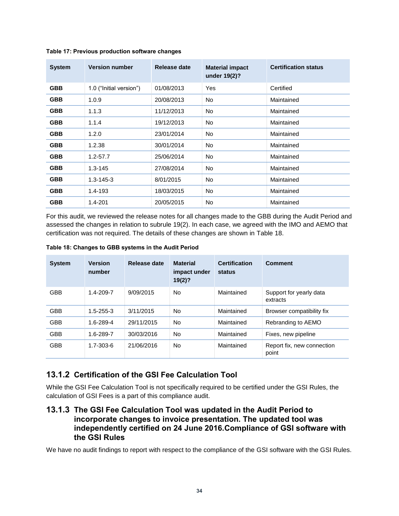| <b>System</b> | <b>Version number</b>   | Release date | <b>Material impact</b><br>under 19(2)? | <b>Certification status</b> |
|---------------|-------------------------|--------------|----------------------------------------|-----------------------------|
| <b>GBB</b>    | 1.0 ("Initial version") | 01/08/2013   | Yes                                    | Certified                   |
| <b>GBB</b>    | 1.0.9                   | 20/08/2013   | No.                                    | Maintained                  |
| <b>GBB</b>    | 1.1.3                   | 11/12/2013   | No.                                    | Maintained                  |
| <b>GBB</b>    | 1.1.4                   | 19/12/2013   | No.                                    | Maintained                  |
| <b>GBB</b>    | 1.2.0                   | 23/01/2014   | No.                                    | Maintained                  |
| <b>GBB</b>    | 1.2.38                  | 30/01/2014   | No.                                    | Maintained                  |
| <b>GBB</b>    | $1.2 - 57.7$            | 25/06/2014   | No.                                    | Maintained                  |
| <b>GBB</b>    | $1.3 - 145$             | 27/08/2014   | No.                                    | Maintained                  |
| <b>GBB</b>    | $1.3 - 145 - 3$         | 8/01/2015    | No.                                    | Maintained                  |
| <b>GBB</b>    | 1.4-193                 | 18/03/2015   | No.                                    | Maintained                  |
| <b>GBB</b>    | 1.4-201                 | 20/05/2015   | No.                                    | Maintained                  |

#### <span id="page-35-0"></span>**Table 17: Previous production software changes**

For this audit, we reviewed the release notes for all changes made to the GBB during the Audit Period and assessed the changes in relation to subrule 19(2). In each case, we agreed with the IMO and AEMO that certification was not required. The details of these changes are shown in [Table 18.](#page-35-1)

<span id="page-35-1"></span>**Table 18: Changes to GBB systems in the Audit Period**

| <b>System</b> | <b>Version</b><br>number | Release date | <b>Material</b><br>impact under<br>19(2)? | <b>Certification</b><br>status | Comment                             |
|---------------|--------------------------|--------------|-------------------------------------------|--------------------------------|-------------------------------------|
| <b>GBB</b>    | $1.4 - 209 - 7$          | 9/09/2015    | No.                                       | Maintained                     | Support for yearly data<br>extracts |
| <b>GBB</b>    | $1.5 - 255 - 3$          | 3/11/2015    | No.                                       | Maintained                     | Browser compatibility fix           |
| <b>GBB</b>    | 1.6-289-4                | 29/11/2015   | No.                                       | Maintained                     | Rebranding to AEMO                  |
| <b>GBB</b>    | 1.6-289-7                | 30/03/2016   | No.                                       | Maintained                     | Fixes, new pipeline                 |
| <b>GBB</b>    | 1.7-303-6                | 21/06/2016   | No.                                       | Maintained                     | Report fix, new connection<br>point |

#### **13.1.2 Certification of the GSI Fee Calculation Tool**

While the GSI Fee Calculation Tool is not specifically required to be certified under the GSI Rules, the calculation of GSI Fees is a part of this compliance audit.

#### **13.1.3 The GSI Fee Calculation Tool was updated in the Audit Period to incorporate changes to invoice presentation. The updated tool was independently certified on 24 June 2016.Compliance of GSI software with the GSI Rules**

We have no audit findings to report with respect to the compliance of the GSI software with the GSI Rules.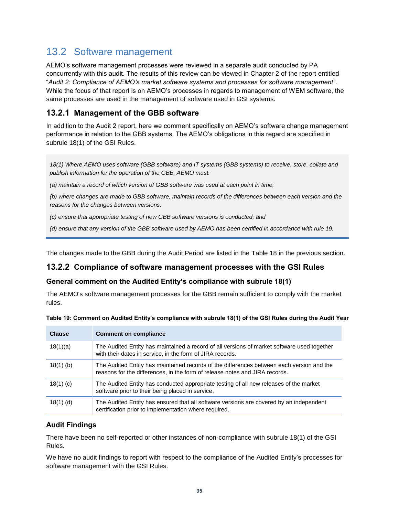## <span id="page-36-1"></span>13.2 Software management

<span id="page-36-0"></span>AEMO's software management processes were reviewed in a separate audit conducted by PA concurrently with this audit. The results of this review can be viewed in Chapter 2 of the report entitled "*Audit 2: Compliance of AEMO's market software systems and processes for software management*". While the focus of that report is on AEMO's processes in regards to management of WEM software, the same processes are used in the management of software used in GSI systems.

### **13.2.1 Management of the GBB software**

In addition to the Audit 2 report, here we comment specifically on AEMO's software change management performance in relation to the GBB systems. The AEMO's obligations in this regard are specified in subrule 18(1) of the GSI Rules.

*18(1) Where AEMO uses software (GBB software) and IT systems (GBB systems) to receive, store, collate and publish information for the operation of the GBB, AEMO must:*

*(a) maintain a record of which version of GBB software was used at each point in time;*

*(b) where changes are made to GBB software, maintain records of the differences between each version and the reasons for the changes between versions;*

*(c) ensure that appropriate testing of new GBB software versions is conducted; and*

*(d) ensure that any version of the GBB software used by AEMO has been certified in accordance with rule 19.*

The changes made to the GBB during the Audit Period are listed in the [Table 18](#page-35-1) in the previous section.

#### **13.2.2 Compliance of software management processes with the GSI Rules**

#### **General comment on the Audited Entity's compliance with subrule 18(1)**

The AEMO's software management processes for the GBB remain sufficient to comply with the market rules.

| <b>Clause</b> | <b>Comment on compliance</b>                                                                                                                                             |
|---------------|--------------------------------------------------------------------------------------------------------------------------------------------------------------------------|
| 18(1)(a)      | The Audited Entity has maintained a record of all versions of market software used together<br>with their dates in service, in the form of JIRA records.                 |
| $18(1)$ (b)   | The Audited Entity has maintained records of the differences between each version and the<br>reasons for the differences, in the form of release notes and JIRA records. |
| $18(1)$ (c)   | The Audited Entity has conducted appropriate testing of all new releases of the market<br>software prior to their being placed in service.                               |
| $18(1)$ (d)   | The Audited Entity has ensured that all software versions are covered by an independent<br>certification prior to implementation where required.                         |

| Table 19: Comment on Audited Entity's compliance with subrule 18(1) of the GSI Rules during the Audit Year |  |  |  |
|------------------------------------------------------------------------------------------------------------|--|--|--|
|                                                                                                            |  |  |  |
|                                                                                                            |  |  |  |

#### **Audit Findings**

There have been no self-reported or other instances of non-compliance with subrule 18(1) of the GSI Rules.

We have no audit findings to report with respect to the compliance of the Audited Entity's processes for software management with the GSI Rules.